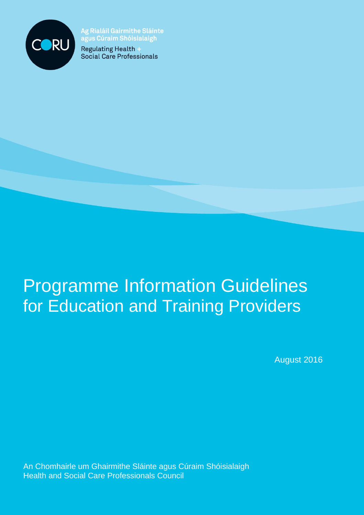

**Ag Rialáil Gairmithe Sláinte** agus Cúraim Shóisialaigh

Regulating Health **Social Care Professionals** 

# Programme Information Guidelines for Education and Training Providers

August 2016

An Chomhairle um Ghairmithe Sláinte agus Cúraim Shóisialaigh Health and Social Care Professionals Council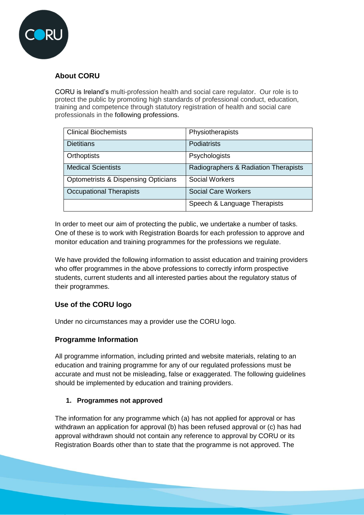

## **About CORU**

CORU is Ireland's multi-profession health and social care regulator. Our role is to protect the public by promoting high standards of professional conduct, education, training and competence through statutory registration of health and social care professionals in the following professions.

| <b>Clinical Biochemists</b>                    | Physiotherapists                     |
|------------------------------------------------|--------------------------------------|
| <b>Dietitians</b>                              | <b>Podiatrists</b>                   |
| Orthoptists                                    | Psychologists                        |
| <b>Medical Scientists</b>                      | Radiographers & Radiation Therapists |
| <b>Optometrists &amp; Dispensing Opticians</b> | <b>Social Workers</b>                |
| <b>Occupational Therapists</b>                 | <b>Social Care Workers</b>           |
|                                                | Speech & Language Therapists         |

In order to meet our aim of protecting the public, we undertake a number of tasks. One of these is to work with Registration Boards for each profession to approve and monitor education and training programmes for the professions we regulate.

We have provided the following information to assist education and training providers who offer programmes in the above professions to correctly inform prospective students, current students and all interested parties about the regulatory status of their programmes.

## **Use of the CORU logo**

Under no circumstances may a provider use the CORU logo.

## **Programme Information**

All programme information, including printed and website materials, relating to an education and training programme for any of our regulated professions must be accurate and must not be misleading, false or exaggerated. The following guidelines should be implemented by education and training providers.

#### **1. Programmes not approved**

The information for any programme which (a) has not applied for approval or has withdrawn an application for approval (b) has been refused approval or (c) has had approval withdrawn should not contain any reference to approval by CORU or its Registration Boards other than to state that the programme is not approved. The